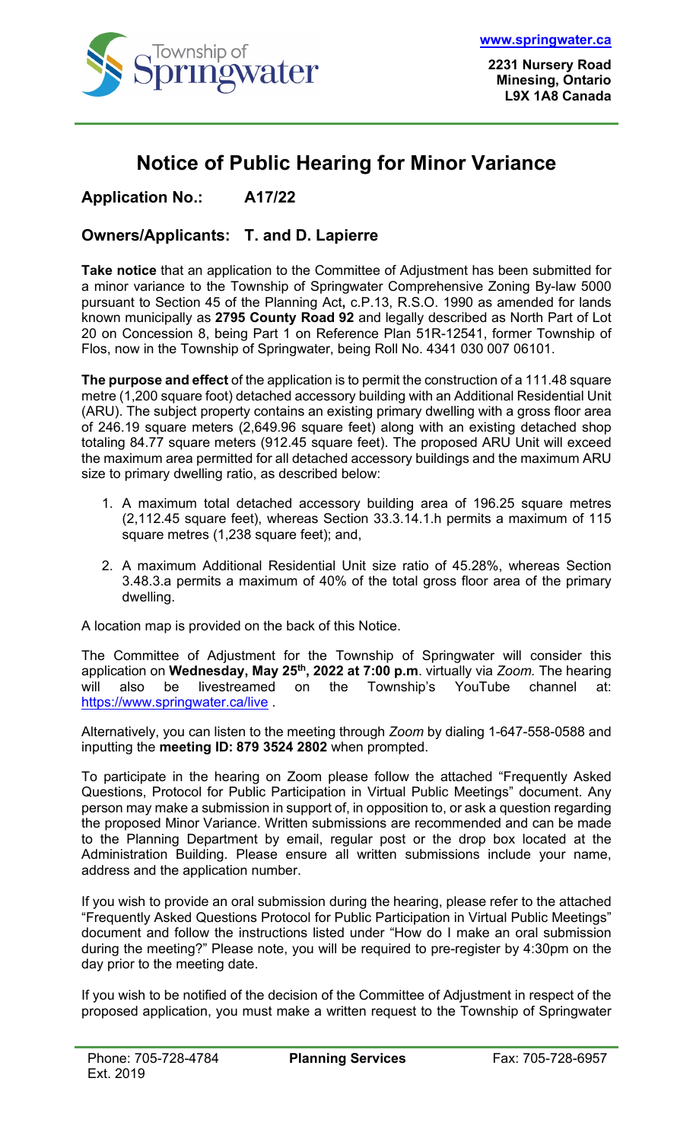

## **Notice of Public Hearing for Minor Variance**

## **Application No.: A17/22**

## **Owners/Applicants: T. and D. Lapierre**

**Take notice** that an application to the Committee of Adjustment has been submitted for a minor variance to the Township of Springwater Comprehensive Zoning By-law 5000 pursuant to Section 45 of the Planning Act**,** c.P.13, R.S.O. 1990 as amended for lands known municipally as **2795 County Road 92** and legally described as North Part of Lot 20 on Concession 8, being Part 1 on Reference Plan 51R-12541, former Township of Flos, now in the Township of Springwater, being Roll No. 4341 030 007 06101.

**The purpose and effect** of the application is to permit the construction of a 111.48 square metre (1,200 square foot) detached accessory building with an Additional Residential Unit (ARU). The subject property contains an existing primary dwelling with a gross floor area of 246.19 square meters (2,649.96 square feet) along with an existing detached shop totaling 84.77 square meters (912.45 square feet). The proposed ARU Unit will exceed the maximum area permitted for all detached accessory buildings and the maximum ARU size to primary dwelling ratio, as described below:

- 1. A maximum total detached accessory building area of 196.25 square metres (2,112.45 square feet), whereas Section 33.3.14.1.h permits a maximum of 115 square metres (1,238 square feet); and,
- 2. A maximum Additional Residential Unit size ratio of 45.28%, whereas Section 3.48.3.a permits a maximum of 40% of the total gross floor area of the primary dwelling.

A location map is provided on the back of this Notice.

The Committee of Adjustment for the Township of Springwater will consider this application on **Wednesday, May 25th, 2022 at 7:00 p.m**. virtually via *Zoom.* The hearing will also be livestreamed on the Township's YouTube channel at: <https://www.springwater.ca/live> .

Alternatively, you can listen to the meeting through *Zoom* by dialing 1-647-558-0588 and inputting the **meeting ID: 879 3524 2802** when prompted.

To participate in the hearing on Zoom please follow the attached "Frequently Asked Questions, Protocol for Public Participation in Virtual Public Meetings" document. Any person may make a submission in support of, in opposition to, or ask a question regarding the proposed Minor Variance. Written submissions are recommended and can be made to the Planning Department by email, regular post or the drop box located at the Administration Building. Please ensure all written submissions include your name, address and the application number.

If you wish to provide an oral submission during the hearing, please refer to the attached "Frequently Asked Questions Protocol for Public Participation in Virtual Public Meetings" document and follow the instructions listed under "How do I make an oral submission during the meeting?" Please note, you will be required to pre-register by 4:30pm on the day prior to the meeting date.

If you wish to be notified of the decision of the Committee of Adjustment in respect of the proposed application, you must make a written request to the Township of Springwater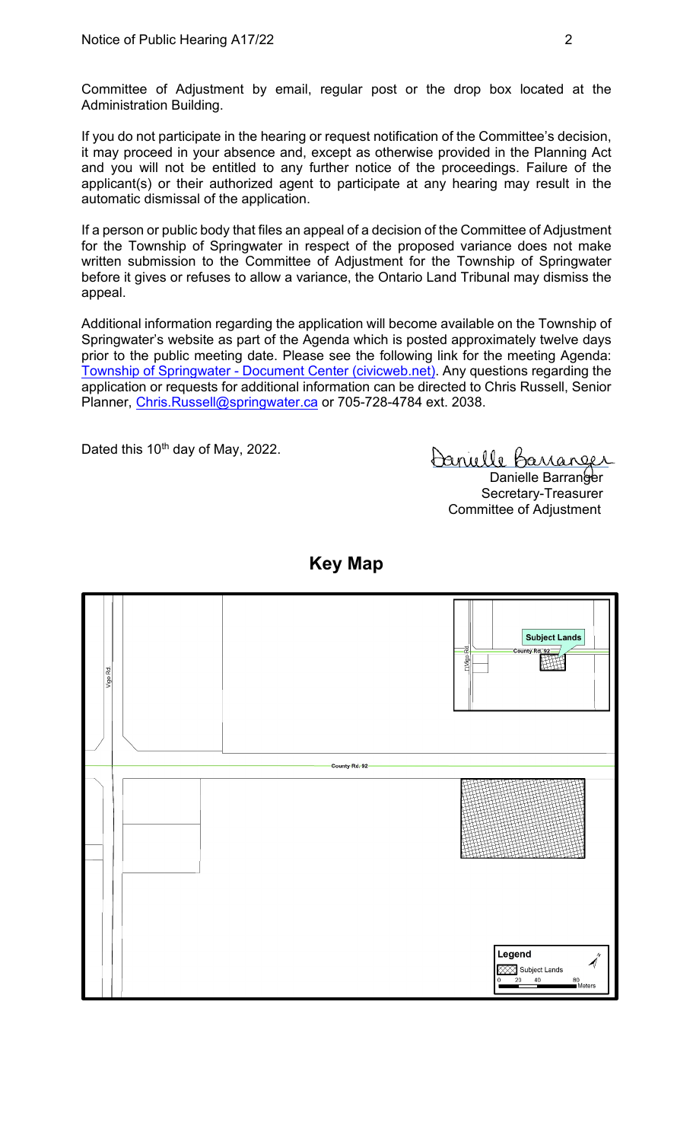Committee of Adjustment by email, regular post or the drop box located at the Administration Building.

If you do not participate in the hearing or request notification of the Committee's decision, it may proceed in your absence and, except as otherwise provided in the Planning Act and you will not be entitled to any further notice of the proceedings. Failure of the applicant(s) or their authorized agent to participate at any hearing may result in the automatic dismissal of the application.

If a person or public body that files an appeal of a decision of the Committee of Adjustment for the Township of Springwater in respect of the proposed variance does not make written submission to the Committee of Adjustment for the Township of Springwater before it gives or refuses to allow a variance, the Ontario Land Tribunal may dismiss the appeal.

Additional information regarding the application will become available on the Township of Springwater's website as part of the Agenda which is posted approximately twelve days prior to the public meeting date. Please see the following link for the meeting Agenda: Township of Springwater - [Document Center \(civicweb.net\).](https://springwater.civicweb.net/filepro/documents/164293) Any questions regarding the application or requests for additional information can be directed to Chris Russell, Senior Planner, [Chris.Russell@springwater.ca](mailto:Chris.Russell@springwater.ca) or 705-728-4784 ext. 2038.

Dated this 10<sup>th</sup> day of May, 2022.

Danielle Barranger Danielle Barranger

Secretary-Treasurer Committee of Adjustment



**Key Map**